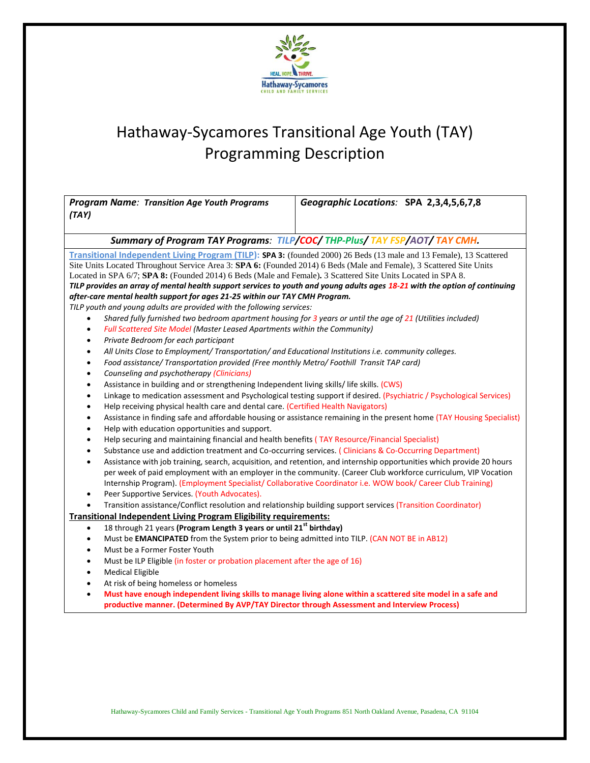

| <b>Program Name: Transition Age Youth Programs</b><br>(TAY)                                                                            | Geographic Locations: SPA 2,3,4,5,6,7,8 |
|----------------------------------------------------------------------------------------------------------------------------------------|-----------------------------------------|
| Summary of Program TAY Programs: TILP/COC/THP-Plus/TAY FSP/AOT/TAY CMH.                                                                |                                         |
| Transitional Independent Living Program (TILP): SPA 3: (founded 2000) 26 Beds (13 male and 13 Female), 13 Scattered                    |                                         |
| Site Units Located Throughout Service Area 3: SPA 6: (Founded 2014) 6 Beds (Male and Female), 3 Scattered Site Units                   |                                         |
| Located in SPA 6/7; SPA 8: (Founded 2014) 6 Beds (Male and Female). 3 Scattered Site Units Located in SPA 8.                           |                                         |
| TILP provides an array of mental health support services to youth and young adults ages 18-21 with the option of continuing            |                                         |
| after-care mental health support for ages 21-25 within our TAY CMH Program.                                                            |                                         |
| TILP youth and young adults are provided with the following services:                                                                  |                                         |
| Shared fully furnished two bedroom apartment housing for 3 years or until the age of 21 (Utilities included)<br>$\bullet$<br>$\bullet$ |                                         |
| Full Scattered Site Model (Master Leased Apartments within the Community)<br>Private Bedroom for each participant<br>$\bullet$         |                                         |
| All Units Close to Employment/ Transportation/ and Educational Institutions i.e. community colleges.<br>$\bullet$                      |                                         |
| Food assistance/ Transportation provided (Free monthly Metro/ Foothill Transit TAP card)<br>$\bullet$                                  |                                         |
| Counseling and psychotherapy (Clinicians)<br>$\bullet$                                                                                 |                                         |
| Assistance in building and or strengthening Independent living skills/ life skills. (CWS)<br>$\bullet$                                 |                                         |
| Linkage to medication assessment and Psychological testing support if desired. (Psychiatric / Psychological Services)<br>$\bullet$     |                                         |
| Help receiving physical health care and dental care. (Certified Health Navigators)<br>$\bullet$                                        |                                         |
| Assistance in finding safe and affordable housing or assistance remaining in the present home (TAY Housing Specialist)<br>$\bullet$    |                                         |
| Help with education opportunities and support.<br>$\bullet$                                                                            |                                         |
| Help securing and maintaining financial and health benefits (TAY Resource/Financial Specialist)<br>$\bullet$                           |                                         |
| Substance use and addiction treatment and Co-occurring services. (Clinicians & Co-Occurring Department)<br>$\bullet$                   |                                         |
| Assistance with job training, search, acquisition, and retention, and internship opportunities which provide 20 hours<br>$\bullet$     |                                         |
| per week of paid employment with an employer in the community. (Career Club workforce curriculum, VIP Vocation                         |                                         |
| Internship Program). (Employment Specialist/ Collaborative Coordinator i.e. WOW book/ Career Club Training)                            |                                         |
| Peer Supportive Services. (Youth Advocates).<br>$\bullet$                                                                              |                                         |
| Transition assistance/Conflict resolution and relationship building support services (Transition Coordinator)<br>$\bullet$             |                                         |
| <b>Transitional Independent Living Program Eligibility requirements:</b>                                                               |                                         |
| 18 through 21 years (Program Length 3 years or until 21st birthday)<br>$\bullet$                                                       |                                         |
| Must be EMANCIPATED from the System prior to being admitted into TILP. (CAN NOT BE in AB12)<br>$\bullet$                               |                                         |
| Must be a Former Foster Youth<br>$\bullet$                                                                                             |                                         |
| Must be ILP Eligible (in foster or probation placement after the age of 16)<br>$\bullet$                                               |                                         |
| <b>Medical Eligible</b><br>$\bullet$                                                                                                   |                                         |
| At risk of being homeless or homeless<br>$\bullet$                                                                                     |                                         |
| Must have enough independent living skills to manage living alone within a scattered site model in a safe and<br>$\bullet$             |                                         |
| productive manner. (Determined By AVP/TAY Director through Assessment and Interview Process)                                           |                                         |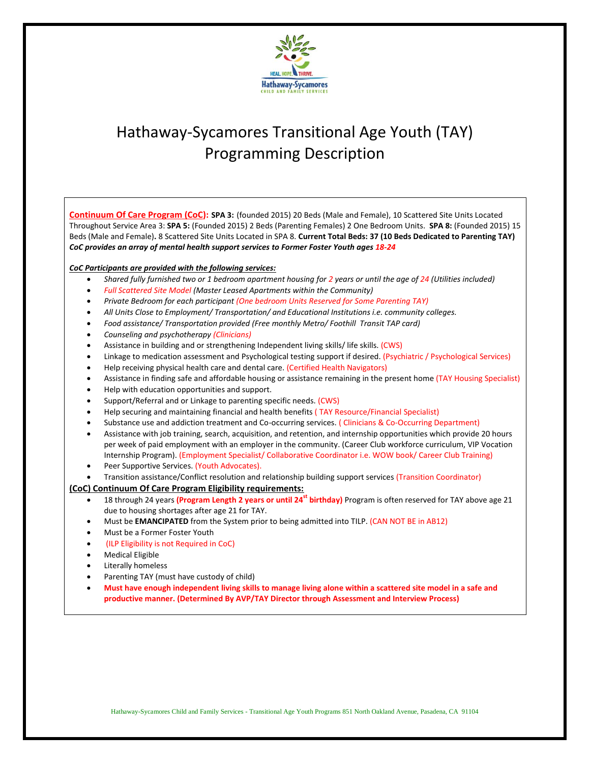

**Continuum Of Care Program (CoC): SPA 3:** (founded 2015) 20 Beds (Male and Female), 10 Scattered Site Units Located Throughout Service Area 3: **SPA 5:** (Founded 2015) 2 Beds (Parenting Females) 2 One Bedroom Units. **SPA 8:** (Founded 2015) 15 Beds (Male and Female)**.** 8 Scattered Site Units Located in SPA 8. **Current Total Beds: 37 (10 Beds Dedicated to Parenting TAY)** *CoC provides an array of mental health support services to Former Foster Youth ages 18-24*

### *CoC Participants are provided with the following services:*

- *Shared fully furnished two or 1 bedroom apartment housing for 2 years or until the age of 24 (Utilities included)*
- *Full Scattered Site Model (Master Leased Apartments within the Community)*
- *Private Bedroom for each participant (One bedroom Units Reserved for Some Parenting TAY)*
- *All Units Close to Employment/ Transportation/ and Educational Institutions i.e. community colleges.*
- *Food assistance/ Transportation provided (Free monthly Metro/ Foothill Transit TAP card)*
- *Counseling and psychotherapy (Clinicians)*
- Assistance in building and or strengthening Independent living skills/ life skills. (CWS)
- Linkage to medication assessment and Psychological testing support if desired. (Psychiatric / Psychological Services)
- Help receiving physical health care and dental care. (Certified Health Navigators)
- Assistance in finding safe and affordable housing or assistance remaining in the present home (TAY Housing Specialist)
- Help with education opportunities and support.
- Support/Referral and or Linkage to parenting specific needs. (CWS)
- Help securing and maintaining financial and health benefits ( TAY Resource/Financial Specialist)
- Substance use and addiction treatment and Co-occurring services. ( Clinicians & Co-Occurring Department)
- Assistance with job training, search, acquisition, and retention, and internship opportunities which provide 20 hours per week of paid employment with an employer in the community. (Career Club workforce curriculum, VIP Vocation Internship Program). (Employment Specialist/ Collaborative Coordinator i.e. WOW book/ Career Club Training)
- Peer Supportive Services. (Youth Advocates).
- Transition assistance/Conflict resolution and relationship building support services (Transition Coordinator)

### **(CoC) Continuum Of Care Program Eligibility requirements:**

- 18 through 24 years **(Program Length 2 years or until 24st birthday)** Program is often reserved for TAY above age 21 due to housing shortages after age 21 for TAY.
- Must be **EMANCIPATED** from the System prior to being admitted into TILP. (CAN NOT BE in AB12)
- Must be a Former Foster Youth
- (ILP Eligibility is not Required in CoC)
- Medical Eligible
- Literally homeless
- Parenting TAY (must have custody of child)
- **Must have enough independent living skills to manage living alone within a scattered site model in a safe and productive manner. (Determined By AVP/TAY Director through Assessment and Interview Process)**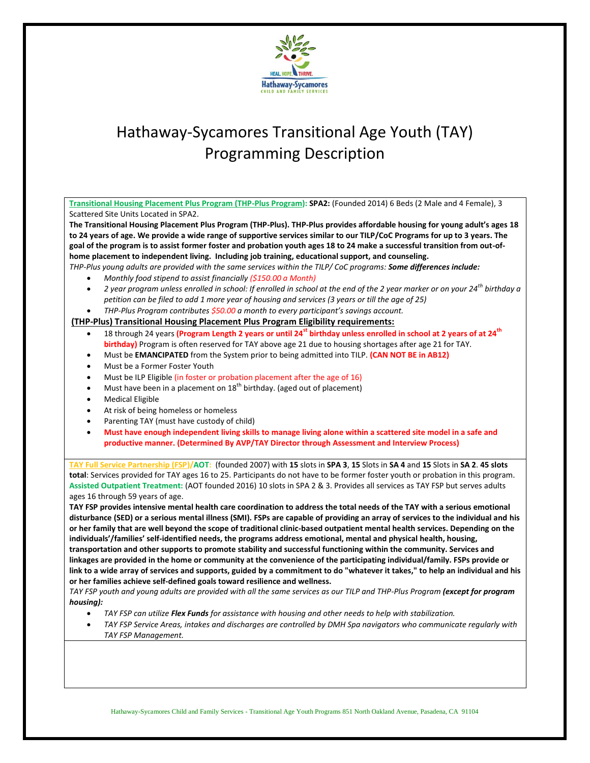

| Transitional Housing Placement Plus Program (THP-Plus Program): SPA2: (Founded 2014) 6 Beds (2 Male and 4 Female), 3                                    |  |
|---------------------------------------------------------------------------------------------------------------------------------------------------------|--|
| Scattered Site Units Located in SPA2.                                                                                                                   |  |
| The Transitional Housing Placement Plus Program (THP-Plus). THP-Plus provides affordable housing for young adult's ages 18                              |  |
| to 24 years of age. We provide a wide range of supportive services similar to our TILP/CoC Programs for up to 3 years. The                              |  |
| goal of the program is to assist former foster and probation youth ages 18 to 24 make a successful transition from out-of-                              |  |
| home placement to independent living. Including job training, educational support, and counseling.                                                      |  |
| THP-Plus young adults are provided with the same services within the TILP/ CoC programs: Some differences include:                                      |  |
| Monthly food stipend to assist financially $(5150.00 a$ Month)                                                                                          |  |
| 2 year program unless enrolled in school: If enrolled in school at the end of the 2 year marker or on your 24 <sup>th</sup> birthday a<br>$\bullet$     |  |
| petition can be filed to add 1 more year of housing and services (3 years or till the age of 25)                                                        |  |
| THP-Plus Program contributes \$50.00 a month to every participant's savings account.<br>$\bullet$                                                       |  |
| (THP-Plus) Transitional Housing Placement Plus Program Eligibility requirements:                                                                        |  |
| 18 through 24 years (Program Length 2 years or until 24 <sup>st</sup> birthday unless enrolled in school at 2 years of at 24 <sup>th</sup><br>$\bullet$ |  |
| birthday) Program is often reserved for TAY above age 21 due to housing shortages after age 21 for TAY.                                                 |  |
| Must be EMANCIPATED from the System prior to being admitted into TILP. (CAN NOT BE in AB12)<br>$\bullet$                                                |  |
| Must be a Former Foster Youth<br>$\bullet$                                                                                                              |  |
| Must be ILP Eligible (in foster or probation placement after the age of 16)<br>$\bullet$                                                                |  |
| Must have been in a placement on 18 <sup>th</sup> birthday. (aged out of placement)<br>$\bullet$                                                        |  |
| <b>Medical Eligible</b><br>$\bullet$                                                                                                                    |  |
| At risk of being homeless or homeless<br>$\bullet$                                                                                                      |  |
| Parenting TAY (must have custody of child)<br>$\bullet$                                                                                                 |  |
| Must have enough independent living skills to manage living alone within a scattered site model in a safe and<br>$\bullet$                              |  |
| productive manner. (Determined By AVP/TAY Director through Assessment and Interview Process)                                                            |  |
|                                                                                                                                                         |  |
| TAY Full Service Partnership (FSP)/AOT: (founded 2007) with 15 slots in SPA 3, 15 Slots in SA 4 and 15 Slots in SA 2. 45 slots                          |  |
| total: Services provided for TAY ages 16 to 25. Participants do not have to be former foster youth or probation in this program.                        |  |
| Assisted Outpatient Treatment: (AOT founded 2016) 10 slots in SPA 2 & 3. Provides all services as TAY FSP but serves adults                             |  |
| ages 16 through 59 years of age.                                                                                                                        |  |
| TAY FSP provides intensive mental health care coordination to address the total needs of the TAY with a serious emotional                               |  |
| disturbance (SED) or a serious mental illness (SMI). FSPs are capable of providing an array of services to the individual and his                       |  |
| or her family that are well beyond the scope of traditional clinic-based outpatient mental health services. Depending on the                            |  |
| individuals'/families' self-identified needs, the programs address emotional, mental and physical health, housing,                                      |  |
| transportation and other supports to promote stability and successful functioning within the community. Services and                                    |  |
| linkages are provided in the home or community at the convenience of the participating individual/family. FSPs provide or                               |  |
| link to a wide array of services and supports, guided by a commitment to do "whatever it takes," to help an individual and his                          |  |
| or her families achieve self-defined goals toward resilience and wellness.                                                                              |  |
| TAY FSP youth and young adults are provided with all the same services as our TILP and THP-Plus Program (except for program                             |  |
| housing):                                                                                                                                               |  |
| TAY FSP can utilize Flex Funds for assistance with housing and other needs to help with stabilization.                                                  |  |
| TAY FSP Service Areas, intakes and discharges are controlled by DMH Spa navigators who communicate regularly with<br>$\bullet$                          |  |

*TAY FSP Management.*